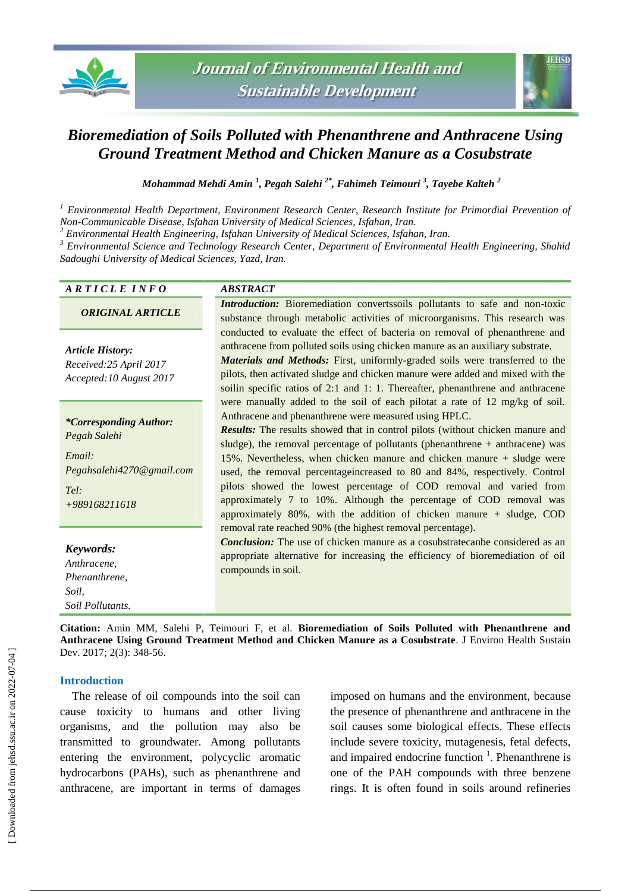



# *Bioremediation of Soils Polluted with Phenanthrene and Anthracene Using Ground Treatment Method and Chicken Manure as a Cosubstrate*

*Mohammad Mehdi Amin <sup>1</sup> , Pegah Salehi 2\* , Fahimeh Teimouri <sup>3</sup> , Tayebe Kalteh <sup>2</sup>*

*<sup>1</sup> Environmental Health Department, Environment Research Center, Research Institute for Primordial Prevention of Non-Communicable Disease, Isfahan University of Medical Sciences, Isfahan, Iran.*

*<sup>2</sup> Environmental Health Engineering, Isfahan University of Medical Sciences, Isfahan, Iran.*

*3 Environmental Science and Technology Research Center, Department of Environmental Health Engineering, Shahid Sadoughi University of Medical Sciences, Yazd, Iran.*

| ARTICLE INFO                                                                                                    | <b>ABSTRACT</b>                                                                                                                                                                                                                                                                                                                                                                                                                                                                                                                                                                                                                                                                                                                                                                                                                                                                                                                                                                                                                                                                                                                                                                                                                                                                                                                                                                                                                                                                                                                                          |
|-----------------------------------------------------------------------------------------------------------------|----------------------------------------------------------------------------------------------------------------------------------------------------------------------------------------------------------------------------------------------------------------------------------------------------------------------------------------------------------------------------------------------------------------------------------------------------------------------------------------------------------------------------------------------------------------------------------------------------------------------------------------------------------------------------------------------------------------------------------------------------------------------------------------------------------------------------------------------------------------------------------------------------------------------------------------------------------------------------------------------------------------------------------------------------------------------------------------------------------------------------------------------------------------------------------------------------------------------------------------------------------------------------------------------------------------------------------------------------------------------------------------------------------------------------------------------------------------------------------------------------------------------------------------------------------|
| <b>ORIGINAL ARTICLE</b>                                                                                         | <i>Introduction:</i> Bioremediation converts soils pollutants to safe and non-toxic<br>substance through metabolic activities of microorganisms. This research was<br>conducted to evaluate the effect of bacteria on removal of phenanthrene and<br>anthracene from polluted soils using chicken manure as an auxiliary substrate.<br>Materials and Methods: First, uniformly-graded soils were transferred to the<br>pilots, then activated sludge and chicken manure were added and mixed with the<br>soilin specific ratios of 2:1 and 1:1. Thereafter, phenanthrene and anthracene<br>were manually added to the soil of each pilotat a rate of 12 mg/kg of soil.<br>Anthracene and phenanthrene were measured using HPLC.<br><b>Results:</b> The results showed that in control pilots (without chicken manure and<br>sludge), the removal percentage of pollutants (phenanthrene $+$ anthracene) was<br>15%. Nevertheless, when chicken manure and chicken manure + sludge were<br>used, the removal percentage increased to 80 and 84%, respectively. Control<br>pilots showed the lowest percentage of COD removal and varied from<br>approximately 7 to 10%. Although the percentage of COD removal was<br>approximately 80%, with the addition of chicken manure $+$ sludge, COD<br>removal rate reached 90% (the highest removal percentage).<br><b>Conclusion:</b> The use of chicken manure as a cosubstratecanbe considered as an<br>appropriate alternative for increasing the efficiency of bioremediation of oil<br>compounds in soil. |
| <b>Article History:</b><br>Received:25 April 2017<br>Accepted: 10 August 2017                                   |                                                                                                                                                                                                                                                                                                                                                                                                                                                                                                                                                                                                                                                                                                                                                                                                                                                                                                                                                                                                                                                                                                                                                                                                                                                                                                                                                                                                                                                                                                                                                          |
| <i>*Corresponding Author:</i><br>Pegah Salehi<br>Email:<br>Pegahsalehi4270@gmail.com<br>Tel:<br>$+989168211618$ |                                                                                                                                                                                                                                                                                                                                                                                                                                                                                                                                                                                                                                                                                                                                                                                                                                                                                                                                                                                                                                                                                                                                                                                                                                                                                                                                                                                                                                                                                                                                                          |
| Keywords:<br>Anthracene,<br>Phenanthrene,<br>Soil.<br>Soil Pollutants.                                          |                                                                                                                                                                                                                                                                                                                                                                                                                                                                                                                                                                                                                                                                                                                                                                                                                                                                                                                                                                                                                                                                                                                                                                                                                                                                                                                                                                                                                                                                                                                                                          |
| Dev. 2017; 2(3): 348-56.                                                                                        | Citation: Amin MM, Salehi P, Teimouri F, et al. Bioremediation of Soils Polluted with Phenanthrene and<br>Anthracene Using Ground Treatment Method and Chicken Manure as a Cosubstrate. J Environ Health Sustain                                                                                                                                                                                                                                                                                                                                                                                                                                                                                                                                                                                                                                                                                                                                                                                                                                                                                                                                                                                                                                                                                                                                                                                                                                                                                                                                         |

# **Introduction**

The release of oil compounds into the soil can cause toxicity to humans and other living organisms, and the pollution may also be transmitted to groundwater. Among pollutants entering the environment, polycyclic aromatic hydrocarbons (PAHs), such as phenanthrene and anthracene, are important in terms of damages imposed on humans and the environment, because the presence of phenanthrene and anthracene in the soil causes some biological effects. These effects include severe toxicity, mutagenesis, fetal defects, and impaired endocrine function  $\frac{1}{1}$ . Phenanthrene is one of the PAH compounds with three benzene rings. It is often found in soils around refineries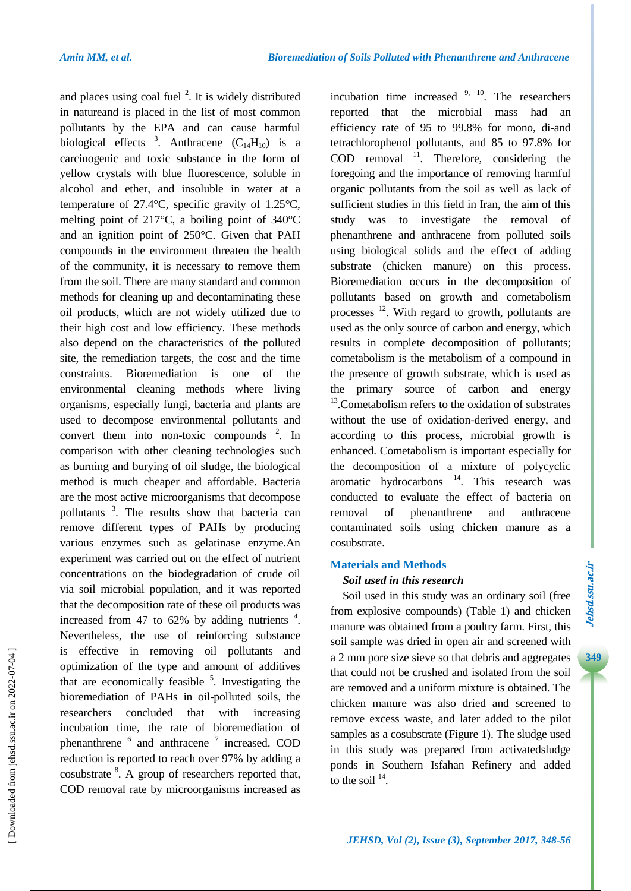and places using coal fuel  $2$ . It is widely distributed in natureand is placed in the list of most common pollutants by the EPA and can cause harmful biological effects  $3$ . Anthracene  $(C_{14}H_{10})$  is a carcinogenic and toxic substance in the form of yellow crystals with blue fluorescence, soluble in alcohol and ether, and insoluble in water at a temperature of 27.4°C, specific gravity of 1.25°C, melting point of 217°C, a boiling point of 340°C and an ignition point of 250°C. Given that PAH compounds in the environment threaten the health of the community, it is necessary to remove them from the soil. There are many standard and common methods for cleaning up and decontaminating these oil products, which are not widely utilized due to their high cost and low efficiency. These methods also depend on the characteristics of the polluted site, the remediation targets, the cost and the time constraints. Bioremediation is one of the environmental cleaning methods where living organisms, especially fungi, bacteria and plants are used to decompose environmental pollutants and convert them into non-toxic compounds  $2$ . In comparison with other cleaning technologies such as burning and burying of oil sludge, the biological method is much cheaper and affordable. Bacteria are the most active microorganisms that decompose pollutants <sup>3</sup>. The results show that bacteria can remove different types of PAHs by producing various enzymes such as gelatinase enzyme.An experiment was carried out on the effect of nutrient concentrations on the biodegradation of crude oil via soil microbial population, and it was reported that the decomposition rate of these oil products was increased from 47 to 62% by adding nutrients  $4$ . Nevertheless, the use of reinforcing substance is effective in removing oil pollutants and optimization of the type and amount of additives that are economically feasible  $5$ . Investigating the bioremediation of PAHs in oil-polluted soils, the researchers concluded that with increasing incubation time, the rate of bioremediation of phenanthrene <sup>6</sup> and anthracene <sup>7</sup> increased. COD reduction is reported to reach over 97% by adding a cosubstrate <sup>8</sup>. A group of researchers reported that, COD removal rate by microorganisms increased as

incubation time increased  $9, 10$ . The researchers reported that the microbial mass had an efficiency rate of 95 to 99.8% for mono, di-and tetrachlorophenol pollutants, and 85 to 97.8% for COD removal  $^{11}$ . Therefore, considering the foregoing and the importance of removing harmful organic pollutants from the soil as well as lack of sufficient studies in this field in Iran, the aim of this study was to investigate the removal of phenanthrene and anthracene from polluted soils using biological solids and the effect of adding substrate (chicken manure) on this process. Bioremediation occurs in the decomposition of pollutants based on growth and cometabolism processes <sup>12</sup>. With regard to growth, pollutants are used as the only source of carbon and energy, which results in complete decomposition of pollutants; cometabolism is the metabolism of a compound in the presence of growth substrate, which is used as the primary source of carbon and energy <sup>13</sup>. Cometabolism refers to the oxidation of substrates without the use of oxidation-derived energy, and according to this process, microbial growth is enhanced. Cometabolism is important especially for the decomposition of a mixture of polycyclic aromatic hydrocarbons  $14$ . This research was conducted to evaluate the effect of bacteria on removal of phenanthrene and anthracene contaminated soils using chicken manure as a cosubstrate.

## **Materials and Methods**

### *Soil used in this research*

Soil used in this study was an ordinary soil (free from explosive compounds) (Table 1) and chicken manure was obtained from a poultry farm. First, this soil sample was dried in open air and screened with a 2 mm pore size sieve so that debris and aggregates that could not be crushed and isolated from the soil are removed and a uniform mixture is obtained. The chicken manure was also dried and screened to remove excess waste, and later added to the pilot samples as a cosubstrate (Figure 1). The sludge used in this study was prepared from activatedsludge ponds in Southern Isfahan Refinery and added to the soil  $14$ .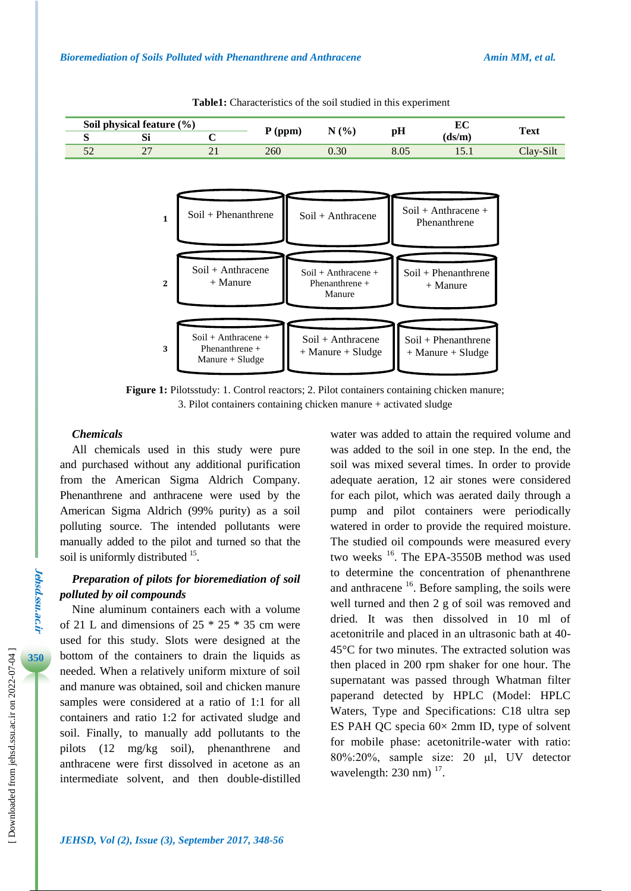

**Table1:** Characteristics of the soil studied in this experiment

**Figure 1:** Pilotsstudy: 1. Control reactors; 2. Pilot containers containing chicken manure; 3. Pilot containers containing chicken manure + activated sludge

# *Chemicals*

All chemicals used in this study were pure and purchased without any additional purification from the American Sigma Aldrich Company. Phenanthrene and anthracene were used by the American Sigma Aldrich (99% purity) as a soil polluting source. The intended pollutants were manually added to the pilot and turned so that the soil is uniformly distributed <sup>15</sup>.

# *Preparation of pilots for bioremediation of soil polluted by oil compounds*

Nine aluminum containers each with a volume of 21 L and dimensions of  $25 * 25 * 35$  cm were used for this study. Slots were designed at the bottom of the containers to drain the liquids as needed. When a relatively uniform mixture of soil and manure was obtained, soil and chicken manure samples were considered at a ratio of 1:1 for all containers and ratio 1:2 for activated sludge and soil. Finally, to manually add pollutants to the pilots (12 mg/kg soil), phenanthrene and anthracene were first dissolved in acetone as an intermediate solvent, and then double-distilled water was added to attain the required volume and was added to the soil in one step. In the end, the soil was mixed several times. In order to provide adequate aeration, 12 air stones were considered for each pilot, which was aerated daily through a pump and pilot containers were periodically watered in order to provide the required moisture. The studied oil compounds were measured every two weeks <sup>16</sup>. The EPA-3550B method was used to determine the concentration of phenanthrene and anthracene  $16$ . Before sampling, the soils were well turned and then 2 g of soil was removed and dried. It was then dissolved in 10 ml of acetonitrile and placed in an ultrasonic bath at 40- 45°C for two minutes. The extracted solution was then placed in 200 rpm shaker for one hour. The supernatant was passed through Whatman filter paperand detected by HPLC (Model: HPLC Waters, Type and Specifications: C18 ultra sep ES PAH QC specia  $60 \times 2$ mm ID, type of solvent for mobile phase: acetonitrile-water with ratio: 80%:20%, sample size: 20 μl, UV detector wavelength:  $230$  nm)  $^{17}$ .

**Jehsd.ssu.ac.ir**

Jehsd.ssu.ac.n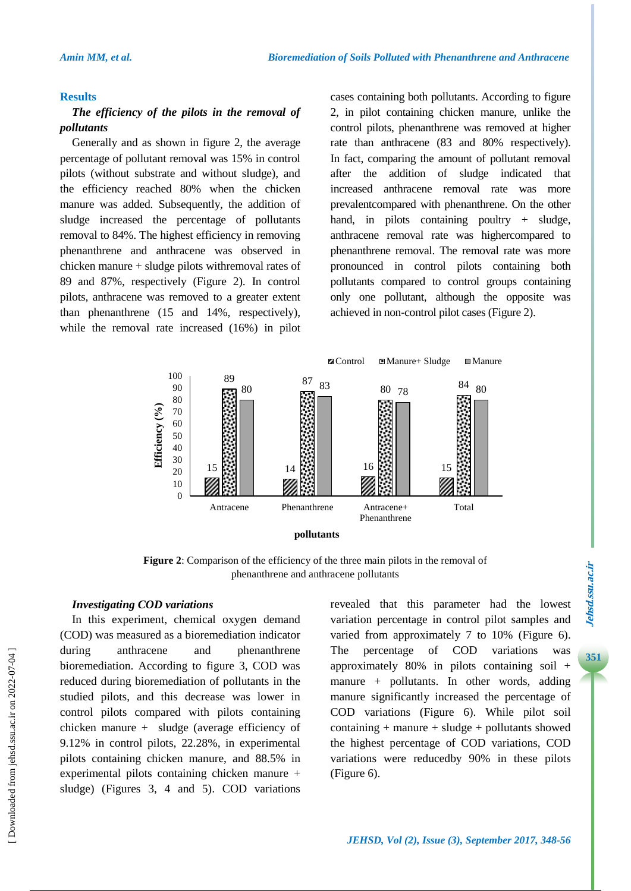#### **Results**

## *The efficiency of the pilots in the removal of pollutants*

Generally and as shown in figure 2, the average percentage of pollutant removal was 15% in control pilots (without substrate and without sludge), and the efficiency reached 80% when the chicken manure was added. Subsequently, the addition of sludge increased the percentage of pollutants removal to 84%. The highest efficiency in removing phenanthrene and anthracene was observed in chicken manure + sludge pilots withremoval rates of 89 and 87%, respectively (Figure 2). In control pilots, anthracene was removed to a greater extent than phenanthrene (15 and 14%, respectively), while the removal rate increased (16%) in pilot cases containing both pollutants. According to figure 2, in pilot containing chicken manure, unlike the control pilots, phenanthrene was removed at higher rate than anthracene (83 and 80% respectively). In fact, comparing the amount of pollutant removal after the addition of sludge indicated that increased anthracene removal rate was more prevalentcompared with phenanthrene. On the other hand, in pilots containing poultry + sludge, anthracene removal rate was highercompared to phenanthrene removal. The removal rate was more pronounced in control pilots containing both pollutants compared to control groups containing only one pollutant, although the opposite was achieved in non-control pilot cases (Figure 2).



**Figure 2**: Comparison of the efficiency of the three main pilots in the removal of phenanthrene and anthracene pollutants

### *Investigating COD variations*

In this experiment, chemical oxygen demand (COD) was measured as a bioremediation indicator during anthracene and phenanthrene bioremediation. According to figure 3, COD was reduced during bioremediation of pollutants in the studied pilots, and this decrease was lower in control pilots compared with pilots containing chicken manure + sludge (average efficiency of 9.12% in control pilots, 22.28%, in experimental pilots containing chicken manure, and 88.5% in experimental pilots containing chicken manure + sludge) (Figures 3, 4 and 5). COD variations revealed that this parameter had the lowest variation percentage in control pilot samples and varied from approximately 7 to 10% (Figure 6). The percentage of COD variations was approximately 80% in pilots containing soil + manure + pollutants. In other words, adding manure significantly increased the percentage of COD variations (Figure 6). While pilot soil  $containing + manure + sludge + pollutants showed$ the highest percentage of COD variations, COD variations were reducedby 90% in these pilots (Figure 6).

# Jehsd.ssu.ac.ir **3Jehsd.ssu.ac.ir**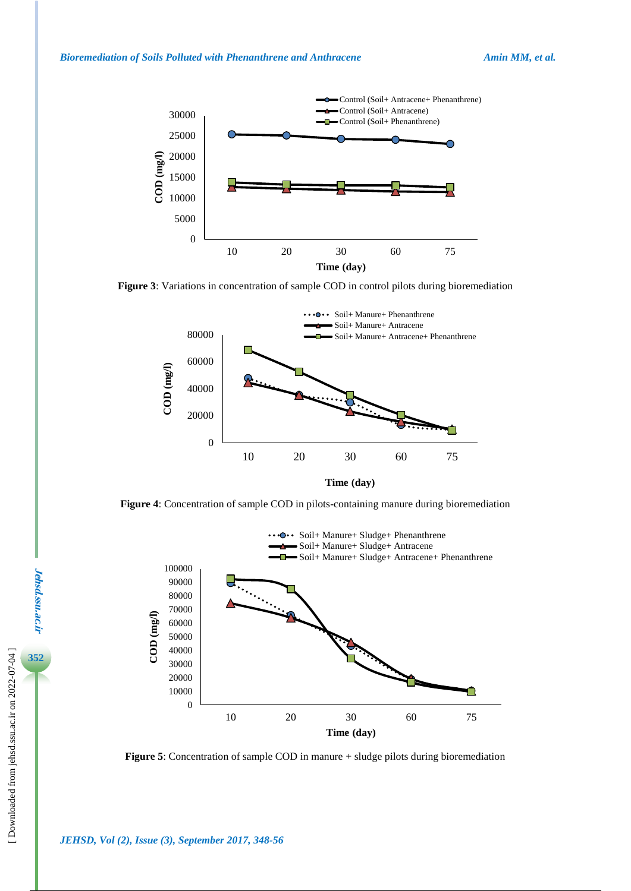

**Figure 3**: Variations in concentration of sample COD in control pilots during bioremediation



**Figure 4**: Concentration of sample COD in pilots-containing manure during bioremediation



**Figure 5**: Concentration of sample COD in manure + sludge pilots during bioremediation

**Jehsd.ssu.ac.ir**

**Jehsd.ssu.ac.ir**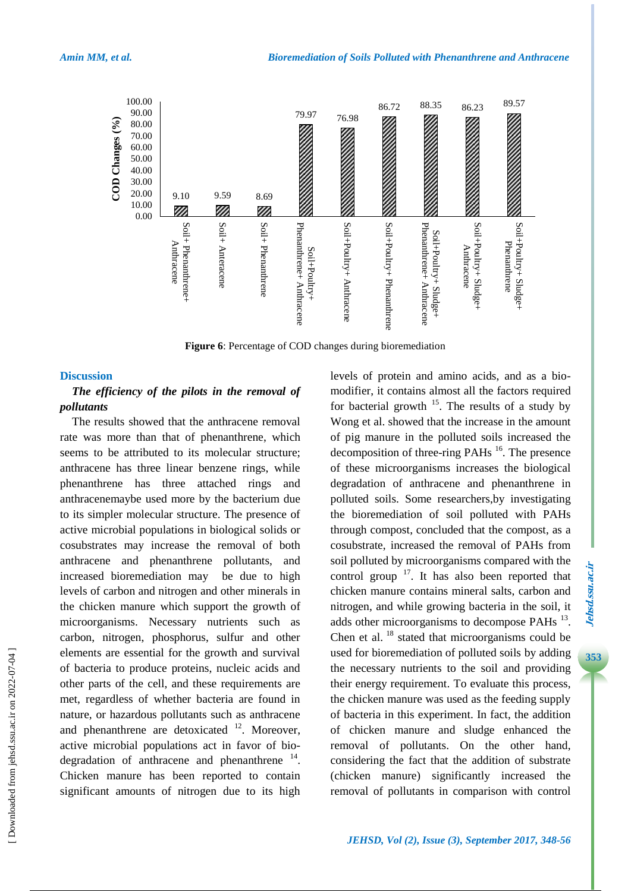

**Figure 6**: Percentage of COD changes during bioremediation

### **Discussion**

# *The efficiency of the pilots in the removal of pollutants*

The results showed that the anthracene removal rate was more than that of phenanthrene, which seems to be attributed to its molecular structure; anthracene has three linear benzene rings, while phenanthrene has three attached rings and anthracenemaybe used more by the bacterium due to its simpler molecular structure. The presence of active microbial populations in biological solids or cosubstrates may increase the removal of both anthracene and phenanthrene pollutants, and increased bioremediation may be due to high levels of carbon and nitrogen and other minerals in the chicken manure which support the growth of microorganisms. Necessary nutrients such as carbon, nitrogen, phosphorus, sulfur and other elements are essential for the growth and survival of bacteria to produce proteins, nucleic acids and other parts of the cell, and these requirements are met, regardless of whether bacteria are found in nature, or hazardous pollutants such as anthracene and phenanthrene are detoxicated  $12$ . Moreover, active microbial populations act in favor of biodegradation of anthracene and phenanthrene  $14$ . Chicken manure has been reported to contain significant amounts of nitrogen due to its high

levels of protein and amino acids, and as a biomodifier, it contains almost all the factors required for bacterial growth  $^{15}$ . The results of a study by Wong et al. showed that the increase in the amount of pig manure in the polluted soils increased the decomposition of three-ring PAHs  $^{16}$ . The presence of these microorganisms increases the biological degradation of anthracene and phenanthrene in polluted soils. Some researchers,by investigating the bioremediation of soil polluted with PAHs through compost, concluded that the compost, as a cosubstrate, increased the removal of PAHs from soil polluted by microorganisms compared with the control group  $17$ . It has also been reported that chicken manure contains mineral salts, carbon and nitrogen, and while growing bacteria in the soil, it adds other microorganisms to decompose PAHs  $^{13}$ . Chen et al. <sup>18</sup> stated that microorganisms could be used for bioremediation of polluted soils by adding the necessary nutrients to the soil and providing their energy requirement. To evaluate this process, the chicken manure was used as the feeding supply of bacteria in this experiment. In fact, the addition of chicken manure and sludge enhanced the removal of pollutants. On the other hand, considering the fact that the addition of substrate (chicken manure) significantly increased the removal of pollutants in comparison with control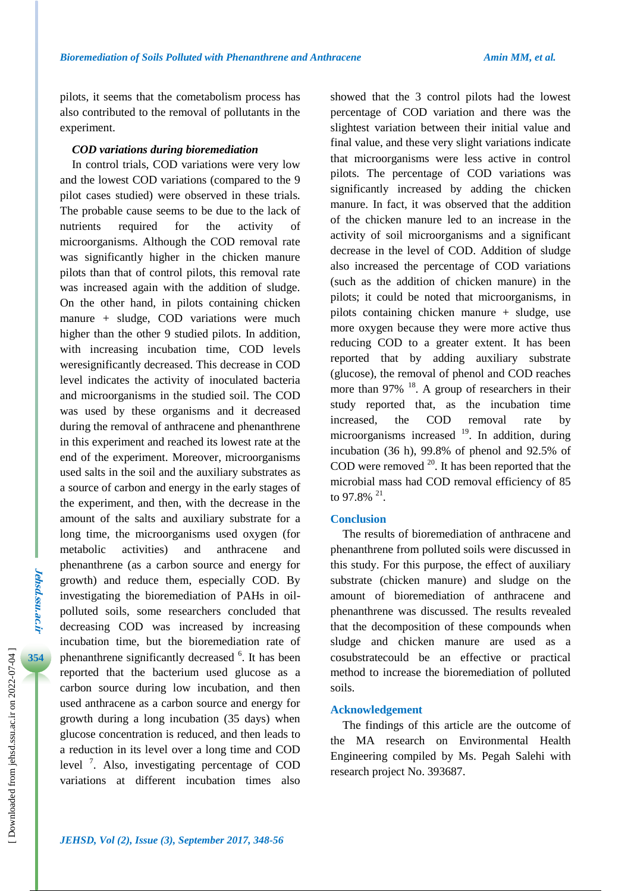pilots, it seems that the cometabolism process has also contributed to the removal of pollutants in the experiment.

### *COD variations during bioremediation*

In control trials, COD variations were very low and the lowest COD variations (compared to the 9 pilot cases studied) were observed in these trials. The probable cause seems to be due to the lack of nutrients required for the activity of microorganisms. Although the COD removal rate was significantly higher in the chicken manure pilots than that of control pilots, this removal rate was increased again with the addition of sludge. On the other hand, in pilots containing chicken manure + sludge, COD variations were much higher than the other 9 studied pilots. In addition, with increasing incubation time, COD levels weresignificantly decreased. This decrease in COD level indicates the activity of inoculated bacteria and microorganisms in the studied soil. The COD was used by these organisms and it decreased during the removal of anthracene and phenanthrene in this experiment and reached its lowest rate at the end of the experiment. Moreover, microorganisms used salts in the soil and the auxiliary substrates as a source of carbon and energy in the early stages of the experiment, and then, with the decrease in the amount of the salts and auxiliary substrate for a long time, the microorganisms used oxygen (for metabolic activities) and anthracene and phenanthrene (as a carbon source and energy for growth) and reduce them, especially COD. By investigating the bioremediation of PAHs in oilpolluted soils, some researchers concluded that decreasing COD was increased by increasing incubation time, but the bioremediation rate of phenanthrene significantly decreased <sup>6</sup>. It has been reported that the bacterium used glucose as a carbon source during low incubation, and then used anthracene as a carbon source and energy for growth during a long incubation (35 days) when glucose concentration is reduced, and then leads to a reduction in its level over a long time and COD level<sup>7</sup>. Also, investigating percentage of COD variations at different incubation times also

showed that the 3 control pilots had the lowest percentage of COD variation and there was the slightest variation between their initial value and final value, and these very slight variations indicate that microorganisms were less active in control pilots. The percentage of COD variations was significantly increased by adding the chicken manure. In fact, it was observed that the addition of the chicken manure led to an increase in the activity of soil microorganisms and a significant decrease in the level of COD. Addition of sludge also increased the percentage of COD variations (such as the addition of chicken manure) in the pilots; it could be noted that microorganisms, in pilots containing chicken manure + sludge, use more oxygen because they were more active thus reducing COD to a greater extent. It has been reported that by adding auxiliary substrate (glucose), the removal of phenol and COD reaches more than  $97\%$ <sup>18</sup>. A group of researchers in their study reported that, as the incubation time increased, the COD removal rate by microorganisms increased  $19$ . In addition, during incubation (36 h), 99.8% of phenol and 92.5% of COD were removed  $20$ . It has been reported that the microbial mass had COD removal efficiency of 85 to 97.8%  $^{21}$ .

### **Conclusion**

The results of bioremediation of anthracene and phenanthrene from polluted soils were discussed in this study. For this purpose, the effect of auxiliary substrate (chicken manure) and sludge on the amount of bioremediation of anthracene and phenanthrene was discussed. The results revealed that the decomposition of these compounds when sludge and chicken manure are used as a cosubstratecould be an effective or practical method to increase the bioremediation of polluted soils.

### **Acknowledgement**

The findings of this article are the outcome of the MA research on Environmental Health Engineering compiled by Ms. Pegah Salehi with research project No. 393687.

**Jehsd.ssu.ac.ir**

Jehsd.ssu.ac.ir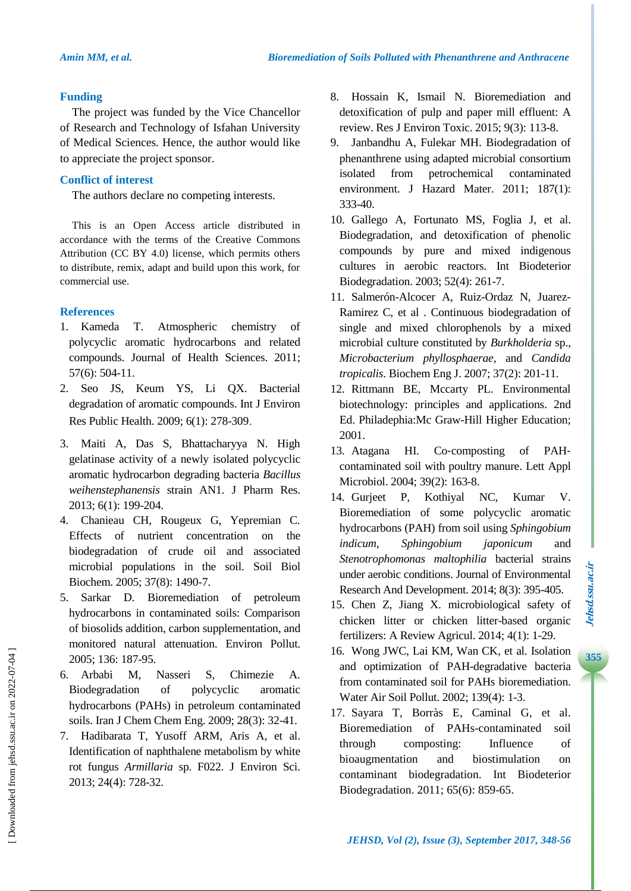### **Funding**

The project was funded by the Vice Chancellor of Research and Technology of Isfahan University of Medical Sciences. Hence, the author would like to appreciate the project sponsor.

# **Conflict of interest**

The authors declare no competing interests.

This is an Open Access article distributed in accordance with the terms of the Creative Commons Attribution (CC BY 4.0) license, which permits others to distribute, remix, adapt and build upon this work, for commercial use.

# **References**

- 1. Kameda T. Atmospheric chemistry of polycyclic aromatic hydrocarbons and related compounds. Journal of Health Sciences. 2011; 57(6): 504-11.
- 2. Seo JS, Keum YS, Li QX. Bacterial degradation of aromatic compounds. Int J Environ Res Public Health. 2009; 6(1): 278-309.
- 3. Maiti A, Das S, Bhattacharyya N. High gelatinase activity of a newly isolated polycyclic aromatic hydrocarbon degrading bacteria *Bacillus weihenstephanensis* strain AN1. J Pharm Res. 2013; 6(1): 199-204.
- 4. Chanieau CH, Rougeux G, Yepremian C. Effects of nutrient concentration on the biodegradation of crude oil and associated microbial populations in the soil. Soil Biol Biochem. 2005; 37(8): 1490-7.
- 5. Sarkar D. Bioremediation of petroleum hydrocarbons in contaminated soils: Comparison of biosolids addition, carbon supplementation, and monitored natural attenuation. Environ Pollut. 2005; 136: 187-95.
- 6. Arbabi M, Nasseri S, Chimezie A. Biodegradation of polycyclic aromatic hydrocarbons (PAHs) in petroleum contaminated soils. Iran J Chem Chem Eng. 2009; 28(3): 32-41.
- 7. Hadibarata T, Yusoff ARM, Aris A, et al. Identification of naphthalene metabolism by white rot fungus *Armillaria* sp. F022. J Environ Sci. 2013; 24(4): 728-32.
- 8. Hossain K, Ismail N. Bioremediation and detoxification of pulp and paper mill effluent: A review. Res J Environ Toxic. 2015; 9(3): 113-8.
- 9. Janbandhu A, Fulekar MH. Biodegradation of phenanthrene using adapted microbial consortium isolated from petrochemical contaminated environment. J Hazard Mater. 2011; 187(1): 333-40.
- 10. Gallego A, Fortunato MS, Foglia J, et al. Biodegradation, and detoxification of phenolic compounds by pure and mixed indigenous cultures in aerobic reactors. Int Biodeterior Biodegradation. 2003; 52(4): 261-7.
- 11. Salmerón-Alcocer A, Ruiz-Ordaz N, Juarez-Ramirez C, et al . Continuous biodegradation of single and mixed chlorophenols by a mixed microbial culture constituted by *Burkholderia* sp., *Microbacterium phyllosphaerae*, and *Candida tropicalis*. Biochem Eng J. 2007; 37(2): 201-11.
- 12. Rittmann BE, Mccarty PL. Environmental biotechnology: principles and applications. 2nd Ed. Philadephia:Mc Graw-Hill Higher Education; 2001.
- 13. Atagana HI. Co-composting of PAHcontaminated soil with poultry manure. Lett Appl Microbiol. 2004; 39(2): 163-8.
- 14. Gurjeet P, Kothiyal NC, Kumar V. Bioremediation of some polycyclic aromatic hydrocarbons (PAH) from soil using *Sphingobium indicum*, *Sphingobium japonicum* and *Stenotrophomonas maltophilia* bacterial strains under aerobic conditions. Journal of Environmental Research And Development. 2014; 8(3): 395-405.
- 15. Chen Z, Jiang X. microbiological safety of chicken litter or chicken litter-based organic fertilizers: A Review Agricul. 2014; 4(1): 1-29.
- 16. Wong JWC, Lai KM, Wan CK, et al. Isolation and optimization of PAH-degradative bacteria from contaminated soil for PAHs bioremediation. Water Air Soil Pollut. 2002; 139(4): 1-3.
- 17. Sayara T, Borràs E, Caminal G, et al. Bioremediation of PAHs-contaminated soil through composting: Influence of bioaugmentation and biostimulation on contaminant biodegradation. Int Biodeterior Biodegradation. 2011; 65(6): 859-65.

**355**

 [\[ Downloaded from jehsd.ssu.ac.ir on 2022](https://jehsd.ssu.ac.ir/article-1-84-en.html)-07-04 ] Downloaded from jehsd.ssu.ac.ir on 2022-07-04 ]